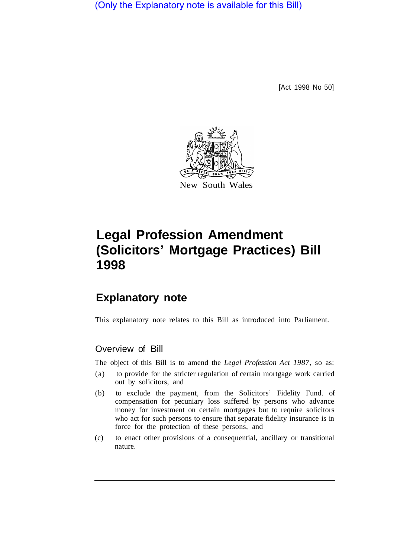(Only the Explanatory note is available for this Bill)

[Act 1998 No 50]



# **Legal Profession Amendment (Solicitors' Mortgage Practices) Bill 1998**

## **Explanatory note**

This explanatory note relates to this Bill as introduced into Parliament.

### Overview of Bill

The object of this Bill is to amend the *Legal Profession Act 1987,* so as:

- (a) to provide for the stricter regulation of certain mortgage work carried out by solicitors, and
- (b) to exclude the payment, from the Solicitors' Fidelity Fund. of compensation for pecuniary loss suffered by persons who advance money for investment on certain mortgages but to require solicitors who act for such persons to ensure that separate fidelity insurance is in force for the protection of these persons, and
- (c) to enact other provisions of a consequential, ancillary or transitional nature.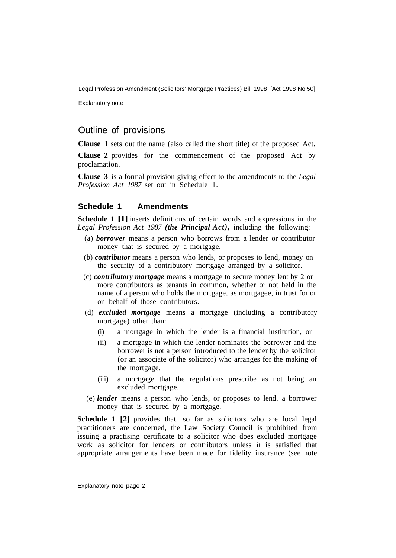Explanatory note

### Outline of provisions

**Clause 1** sets out the name (also called the short title) of the proposed Act.

**Clause 2** provides for the commencement of the proposed Act by proclamation.

**Clause 3** is a formal provision giving effect to the amendments to the *Legal Profession Act 1987* set out in Schedule 1.

#### **Schedule 1 Amendments**

**Schedule 1 [l]** inserts definitions of certain words and expressions in the *Legal Profession Act 1987 (the Principal Act),* including the following:

- (a) *borrower* means a person who borrows from a lender or contributor money that is secured by a mortgage.
- (b) *contributor* means a person who lends, or proposes to lend, money on the security of a contributory mortgage arranged by a solicitor.
- (c) *contributory mortgage* means a mortgage to secure money lent by 2 or more contributors as tenants in common, whether or not held in the name of a person who holds the mortgage, as mortgagee, in trust for or on behalf of those contributors.
- (d) *excluded mortgage* means a mortgage (including a contributory mortgage) other than:
	- (i) a mortgage in which the lender is a financial institution, or
	- (ii) a mortgage in which the lender nominates the borrower and the borrower is not a person introduced to the lender by the solicitor (or an associate of the solicitor) who arranges for the making of the mortgage.
	- (iii) a mortgage that the regulations prescribe as not being an excluded mortgage.
- (e) *lender* means a person who lends, or proposes to lend. a borrower money that is secured by a mortgage.

**Schedule 1 [2]** provides that. so far as solicitors who are local legal practitioners are concerned, the Law Society Council is prohibited from issuing a practising certificate to a solicitor who does excluded mortgage work as solicitor for lenders or contributors unless it is satisfied that appropriate arrangements have been made for fidelity insurance (see note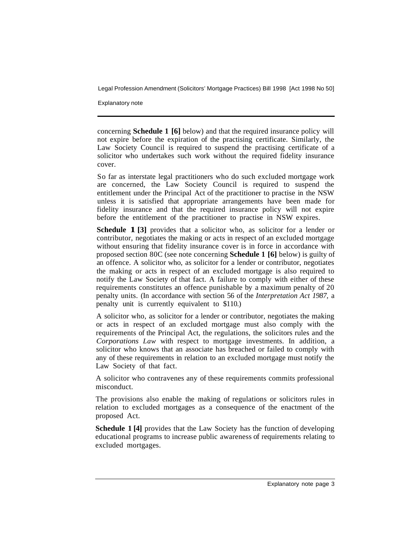Explanatory note

concerning **Schedule 1 [6]** below) and that the required insurance policy will not expire before the expiration of the practising certificate. Similarly, the Law Society Council is required to suspend the practising certificate of a solicitor who undertakes such work without the required fidelity insurance cover.

So far as interstate legal practitioners who do such excluded mortgage work are concerned, the Law Society Council is required to suspend the entitlement under the Principal Act of the practitioner to practise in the NSW unless it is satisfied that appropriate arrangements have been made for fidelity insurance and that the required insurance policy will not expire before the entitlement of the practitioner to practise in NSW expires.

**Schedule 1 [3]** provides that a solicitor who, as solicitor for a lender or contributor, negotiates the making or acts in respect of an excluded mortgage without ensuring that fidelity insurance cover is in force in accordance with proposed section 80C (see note concerning **Schedule 1 [6]** below) is guilty of an offence. A solicitor who, as solicitor for a lender or contributor, negotiates the making or acts in respect of an excluded mortgage is also required to notify the Law Society of that fact. A failure to comply with either of these requirements constitutes an offence punishable by a maximum penalty of 20 penalty units. (In accordance with section 56 of the *Interpretation Act 1987,* a penalty unit is currently equivalent to \$110.)

A solicitor who, as solicitor for a lender or contributor, negotiates the making or acts in respect of an excluded mortgage must also comply with the requirements of the Principal Act, the regulations, the solicitors rules and the *Corporations Law* with respect to mortgage investments. In addition, a solicitor who knows that an associate has breached or failed to comply with any of these requirements in relation to an excluded mortgage must notify the Law Society of that fact.

A solicitor who contravenes any of these requirements commits professional misconduct.

The provisions also enable the making of regulations or solicitors rules in relation to excluded mortgages as a consequence of the enactment of the proposed Act.

**Schedule 1 [4]** provides that the Law Society has the function of developing educational programs to increase public awareness of requirements relating to excluded mortgages.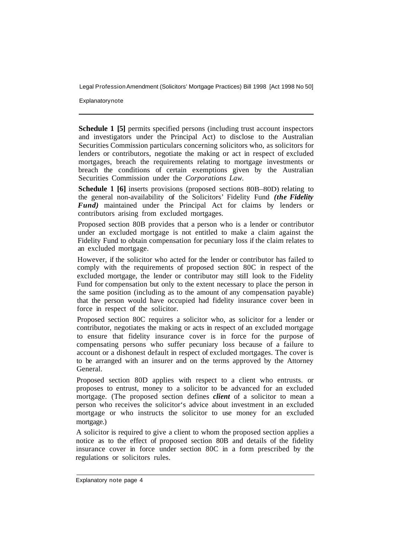**Explanatory note** 

**Schedule 1 [5]** permits specified persons (including trust account inspectors and investigators under the Principal Act) to disclose to the Australian Securities Commission particulars concerning solicitors who, as solicitors for lenders or contributors, negotiate the making or act in respect of excluded mortgages, breach the requirements relating to mortgage investments or breach the conditions of certain exemptions given by the Australian Securities Commission under the *Corporations Law.* 

**Schedule 1 [6]** inserts provisions (proposed sections 80B–80D) relating to the general non-availability of the Solicitors' Fidelity Fund *(the Fidelity Fund)* maintained under the Principal Act for claims by lenders or contributors arising from excluded mortgages.

Proposed section 80B provides that a person who is a lender or contributor under an excluded mortgage is not entitled to make a claim against the Fidelity Fund to obtain compensation for pecuniary loss if the claim relates to an excluded mortgage.

However, if the solicitor who acted for the lender or contributor has failed to comply with the requirements of proposed section 80C in respect of the excluded mortgage, the lender or contributor may stiII look to the Fidelity Fund for compensation but only to the extent necessary to place the person in the same position (including as to the amount of any compensation payable) that the person would have occupied had fidelity insurance cover been in force in respect of the solicitor.

Proposed section 80C requires a solicitor who, as solicitor for a lender or contributor, negotiates the making or acts in respect of an excluded mortgage to ensure that fidelity insurance cover is in force for the purpose of compensating persons who suffer pecuniary loss because of a failure to account or a dishonest default in respect of excluded mortgages. The cover is to be arranged with an insurer and on the terms approved by the Attorney General.

Proposed section 80D applies with respect to a client who entrusts. or proposes to entrust, money to a solicitor to be advanced for an excluded mortgage. (The proposed section defines *client* of a solicitor to mean a person who receives the solicitor's advice about investment in an excluded mortgage or who instructs the solicitor to use money for an excluded mortgage.)

A solicitor is required to give a client to whom the proposed section applies a notice as to the effect of proposed section 80B and details of the fidelity insurance cover in force under section 80C in a form prescribed by the regulations or solicitors rules.